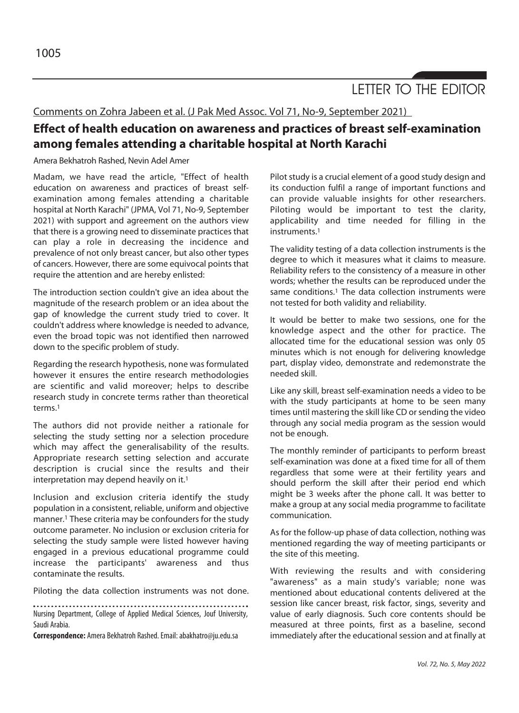LETTER TO THE EDITOR

Comments on Zohra Jabeen et al. (J Pak Med Assoc. Vol 71, No-9, September 2021)

## **Effect of health education on awareness and practices of breast self-examination among females attending a charitable hospital at North Karachi**

Amera Bekhatroh Rashed, Nevin Adel Amer

Madam, we have read the article, "Effect of health education on awareness and practices of breast selfexamination among females attending a charitable hospital at North Karachi" (JPMA, Vol 71, No-9, September 2021) with support and agreement on the authors view that there is a growing need to disseminate practices that can play a role in decreasing the incidence and prevalence of not only breast cancer, but also other types of cancers. However, there are some equivocal points that require the attention and are hereby enlisted:

The introduction section couldn't give an idea about the magnitude of the research problem or an idea about the gap of knowledge the current study tried to cover. It couldn't address where knowledge is needed to advance, even the broad topic was not identified then narrowed down to the specific problem of study.

Regarding the research hypothesis, none was formulated however it ensures the entire research methodologies are scientific and valid moreover; helps to describe research study in concrete terms rather than theoretical terms.1

The authors did not provide neither a rationale for selecting the study setting nor a selection procedure which may affect the generalisability of the results. Appropriate research setting selection and accurate description is crucial since the results and their interpretation may depend heavily on it.1

Inclusion and exclusion criteria identify the study population in a consistent, reliable, uniform and objective manner.1 These criteria may be confounders for the study outcome parameter. No inclusion or exclusion criteria for selecting the study sample were listed however having engaged in a previous educational programme could increase the participants' awareness and thus contaminate the results.

Piloting the data collection instruments was not done.

Nursing Department, College of Applied Medical Sciences, Jouf University, Saudi Arabia.

**Correspondence:** Amera Bekhatroh Rashed. Email: abakhatro@ju.edu.sa

Pilot study is a crucial element of a good study design and its conduction fulfil a range of important functions and can provide valuable insights for other researchers. Piloting would be important to test the clarity, applicability and time needed for filling in the instruments.1

The validity testing of a data collection instruments is the degree to which it measures what it claims to measure. Reliability refers to the consistency of a measure in other words; whether the results can be reproduced under the same conditions.<sup>1</sup> The data collection instruments were not tested for both validity and reliability.

It would be better to make two sessions, one for the knowledge aspect and the other for practice. The allocated time for the educational session was only 05 minutes which is not enough for delivering knowledge part, display video, demonstrate and redemonstrate the needed skill.

Like any skill, breast self-examination needs a video to be with the study participants at home to be seen many times until mastering the skill like CD or sending the video through any social media program as the session would not be enough.

The monthly reminder of participants to perform breast self-examination was done at a fixed time for all of them regardless that some were at their fertility years and should perform the skill after their period end which might be 3 weeks after the phone call. It was better to make a group at any social media programme to facilitate communication.

As for the follow-up phase of data collection, nothing was mentioned regarding the way of meeting participants or the site of this meeting.

With reviewing the results and with considering "awareness" as a main study's variable; none was mentioned about educational contents delivered at the session like cancer breast, risk factor, sings, severity and value of early diagnosis. Such core contents should be measured at three points, first as a baseline, second immediately after the educational session and at finally at